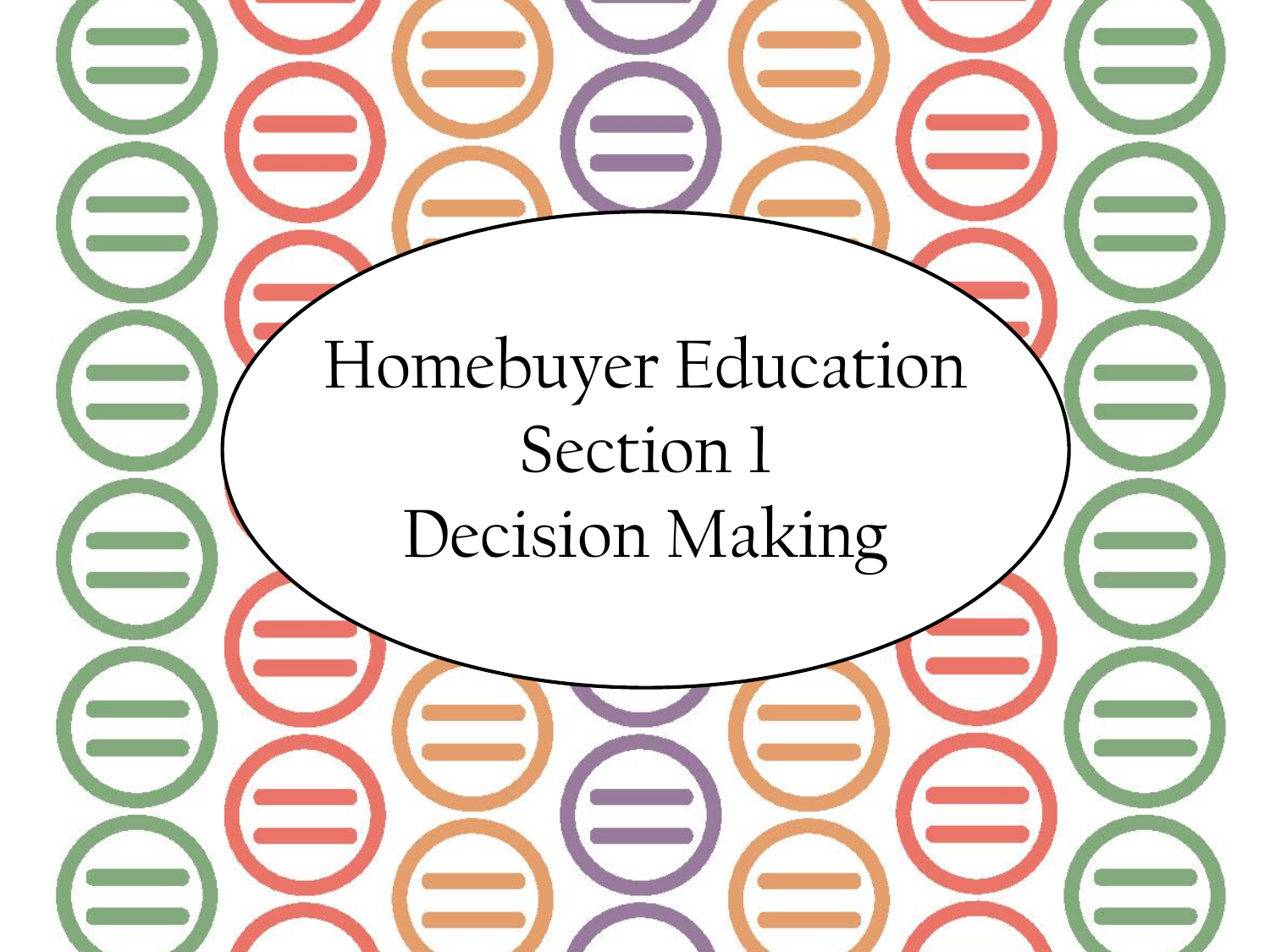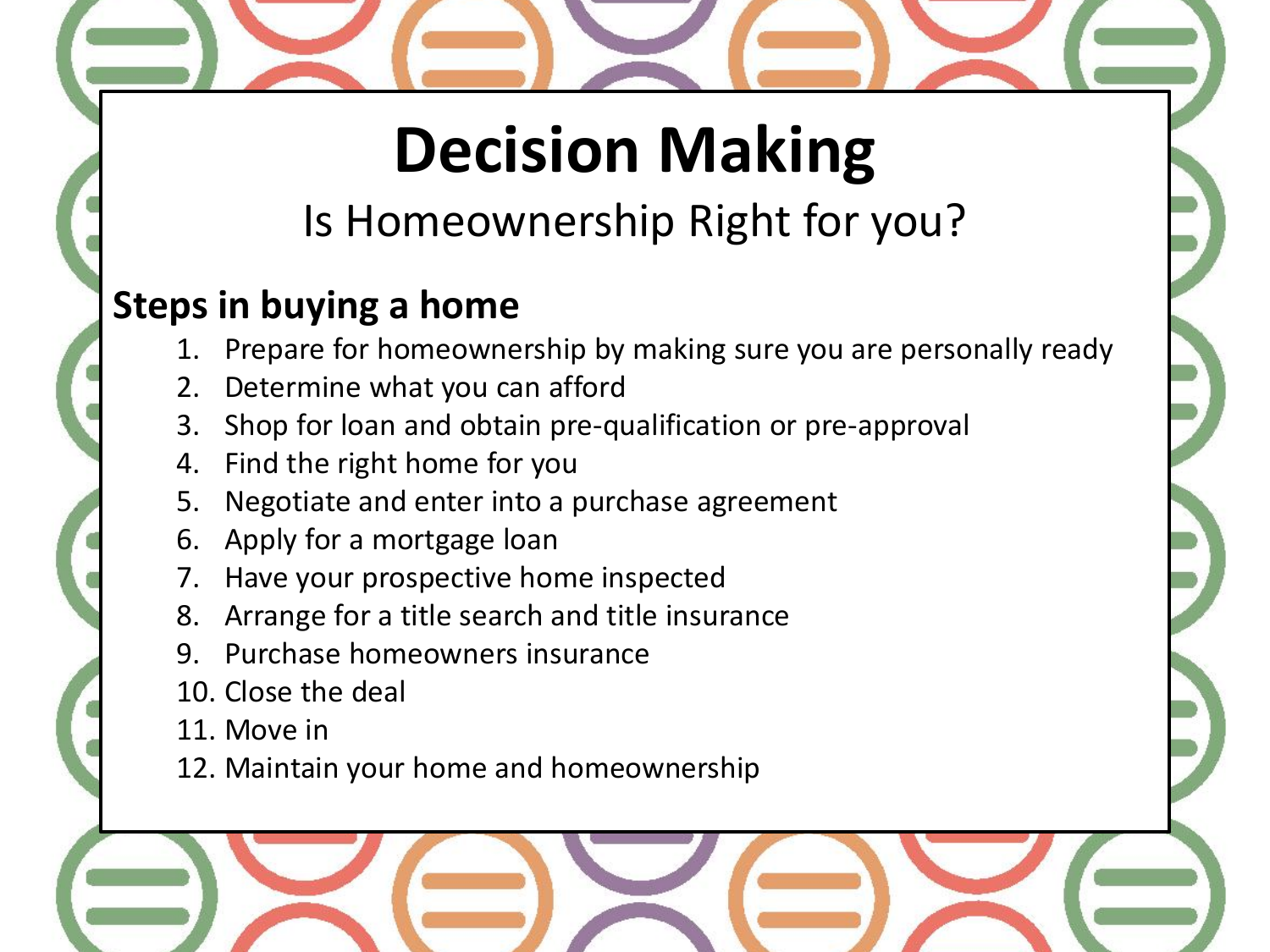## **Decision Making**

### Is Homeownership Right for you?

### **Steps in buying a home**

- 1. Prepare for homeownership by making sure you are personally ready
- 2. Determine what you can afford
- 3. Shop for loan and obtain pre-qualification or pre-approval
- 4. Find the right home for you
- 5. Negotiate and enter into a purchase agreement
- 6. Apply for a mortgage loan
- 7. Have your prospective home inspected
- 8. Arrange for a title search and title insurance
- 9. Purchase homeowners insurance
- 10. Close the deal
- 11. Move in
- 12. Maintain your home and homeownership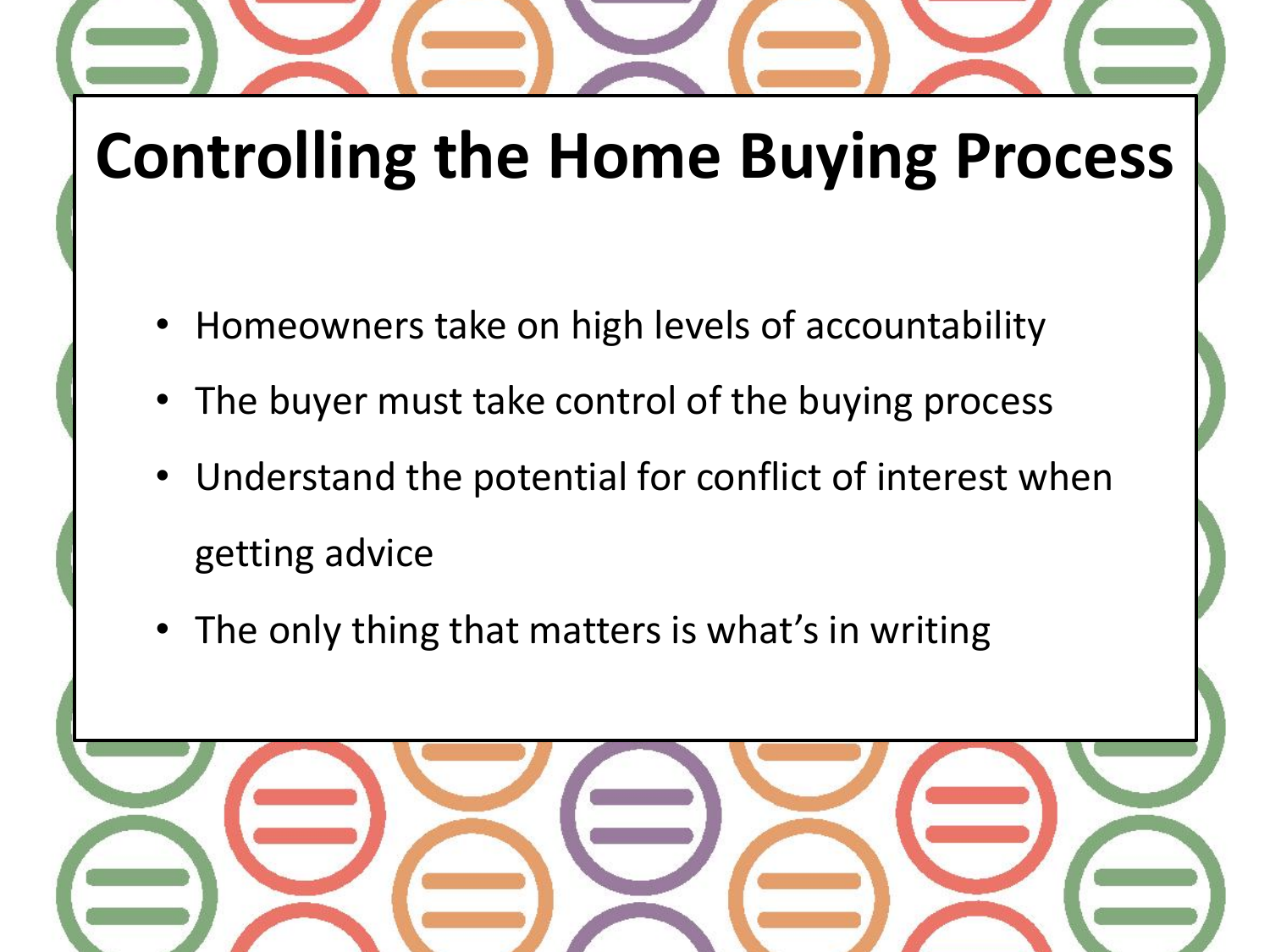## **Controlling the Home Buying Process**

- Homeowners take on high levels of accountability
- The buyer must take control of the buying process
- Understand the potential for conflict of interest when getting advice
- The only thing that matters is what's in writing

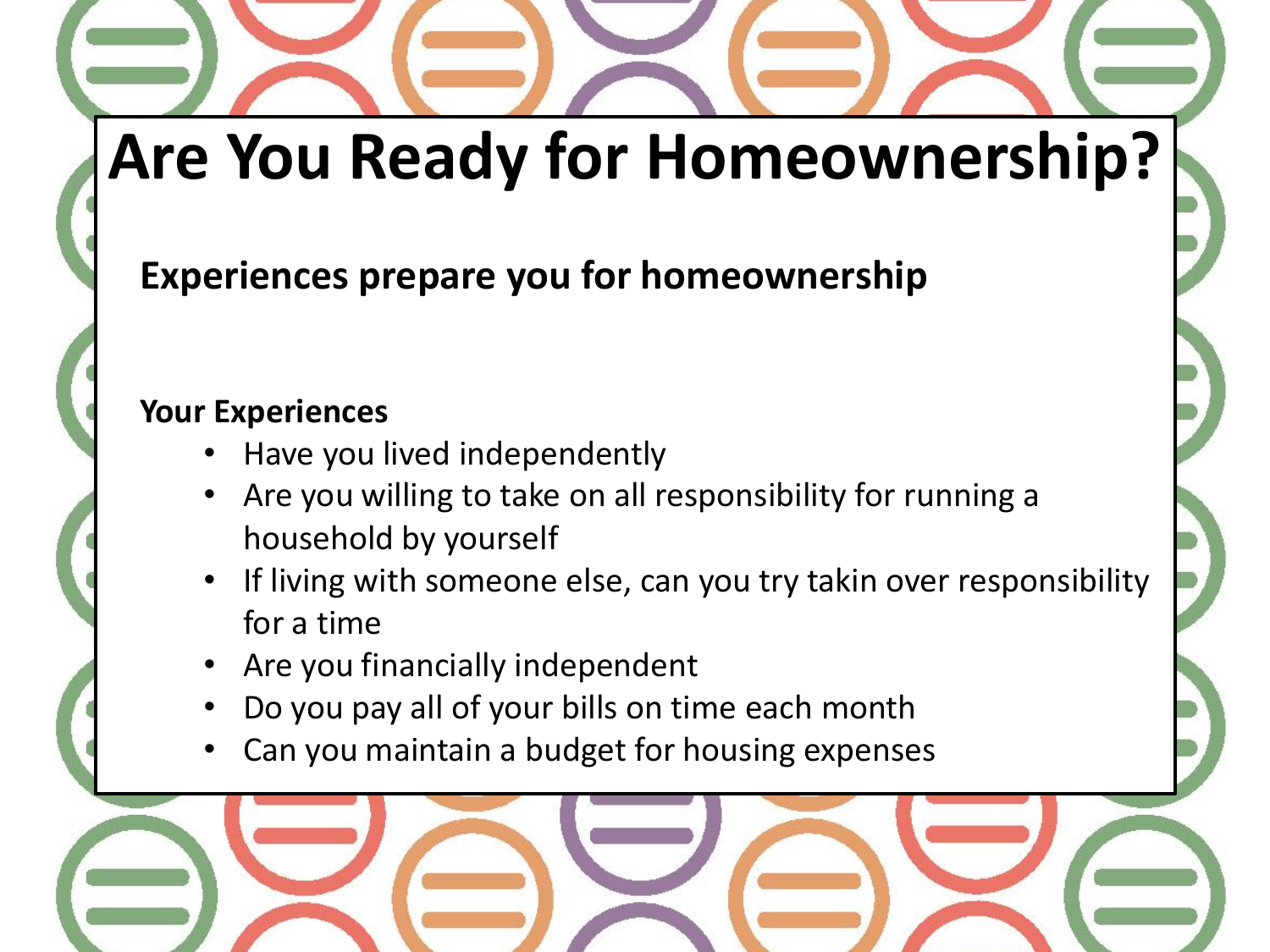**Experiences prepare you for homeownership**

#### **Your Experiences**

- Have you lived independently
- Are you willing to take on all responsibility for running a household by yourself
- If living with someone else, can you try takin over responsibility for a time
- Are you financially independent
- Do you pay all of your bills on time each month
- Can you maintain a budget for housing expenses

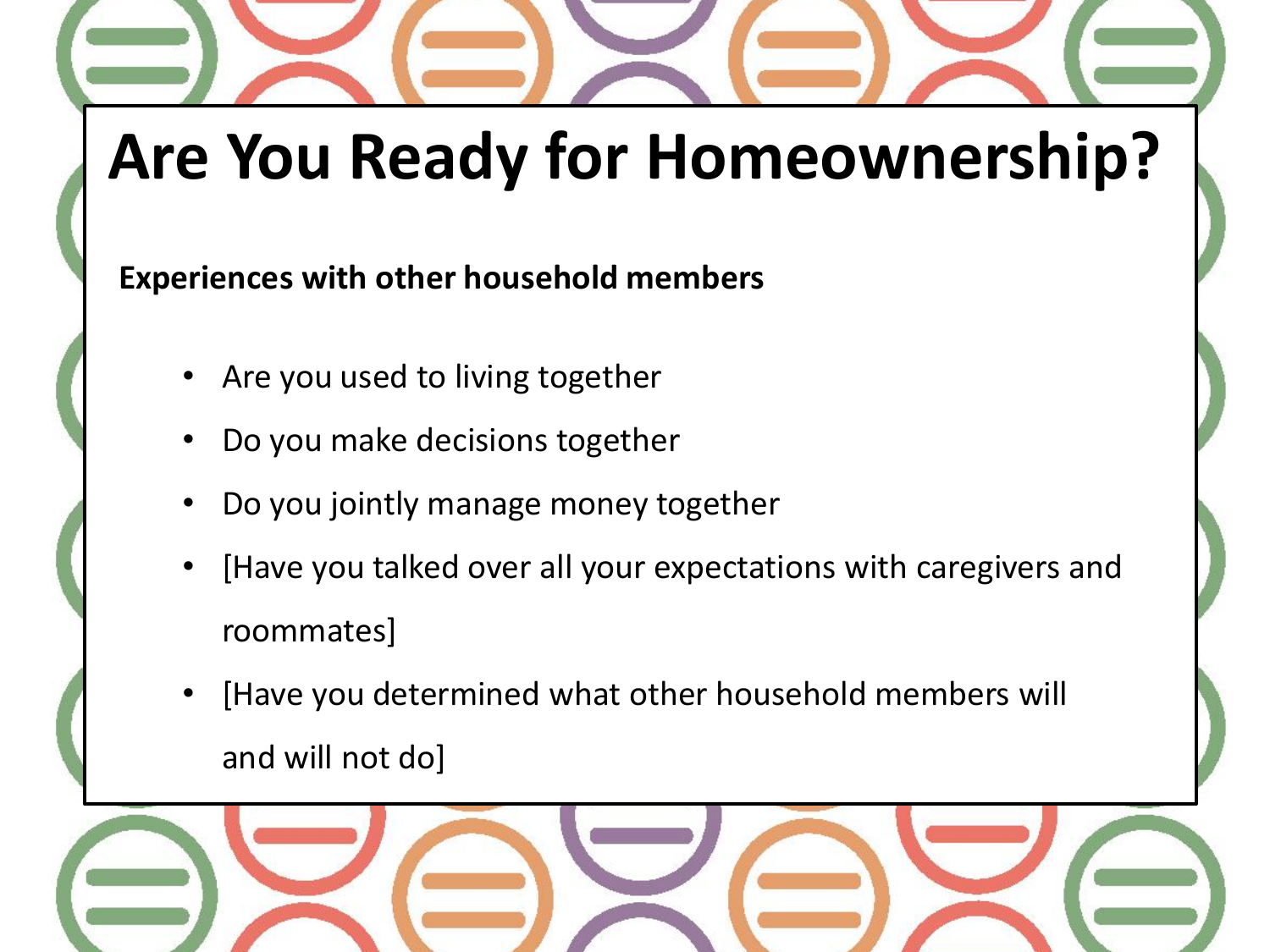**Experiences with other household members**

- Are you used to living together
- Do you make decisions together
- Do you jointly manage money together
- [Have you talked over all your expectations with caregivers and roommates]
- [Have you determined what other household members will and will not do]

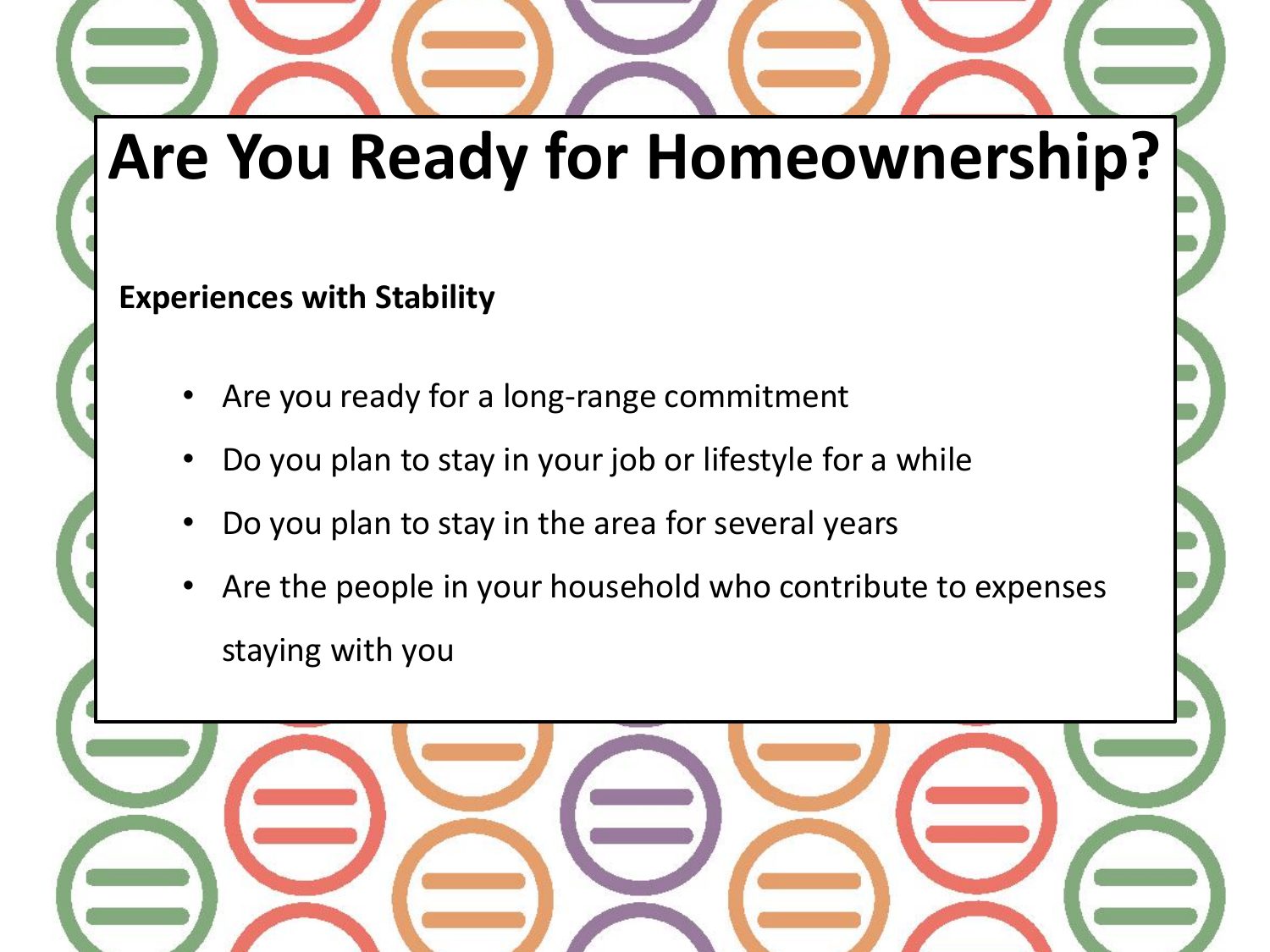#### **Experiences with Stability**

- Are you ready for a long-range commitment
- Do you plan to stay in your job or lifestyle for a while
- Do you plan to stay in the area for several years
- Are the people in your household who contribute to expenses staying with you

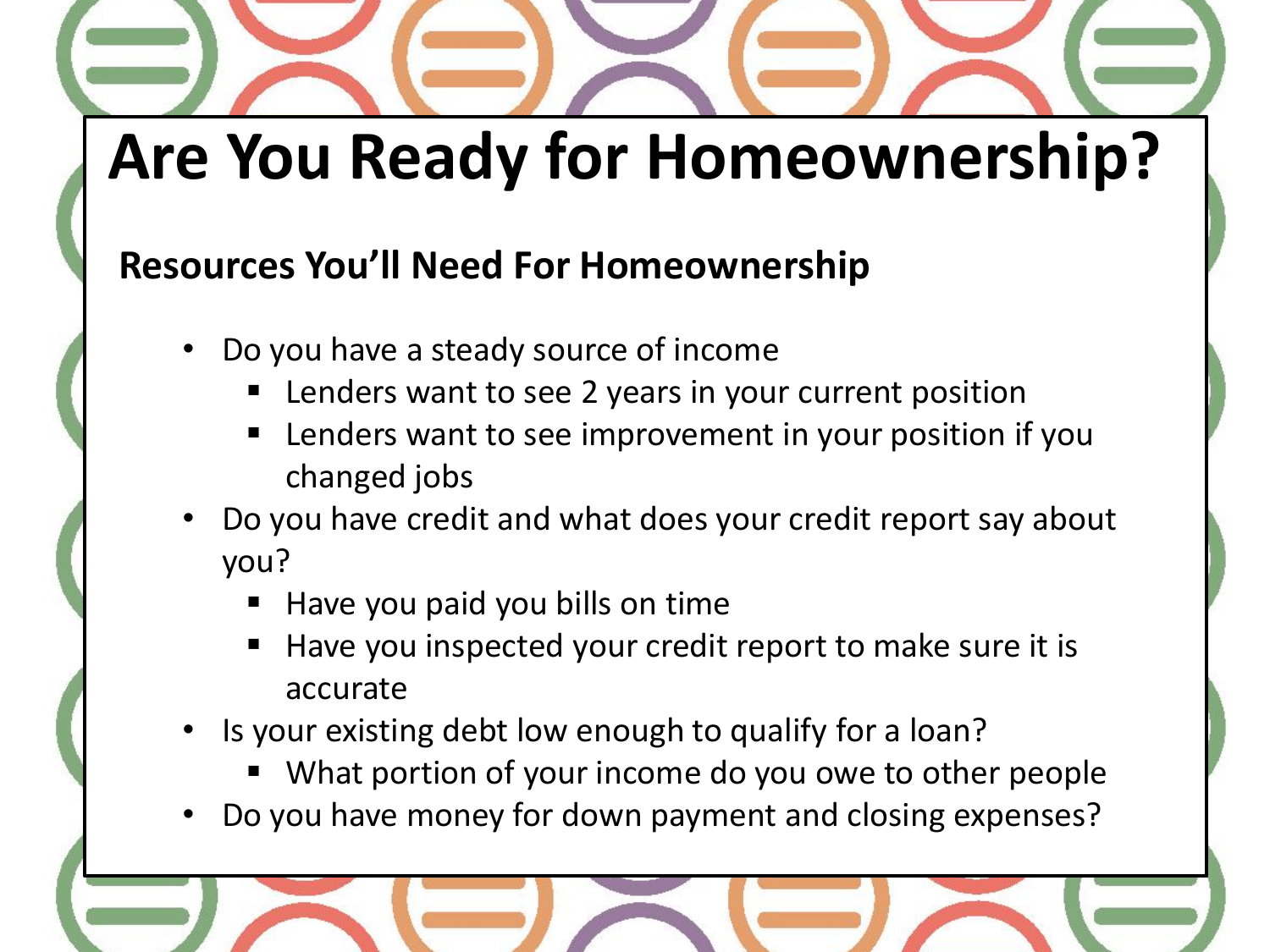### **Resources You'll Need For Homeownership**

- Do you have a steady source of income
	- Lenders want to see 2 years in your current position
	- Lenders want to see improvement in your position if you changed jobs
- Do you have credit and what does your credit report say about you?
	- Have you paid you bills on time
	- Have you inspected your credit report to make sure it is accurate
- Is your existing debt low enough to qualify for a loan?
	- What portion of your income do you owe to other people
- Do you have money for down payment and closing expenses?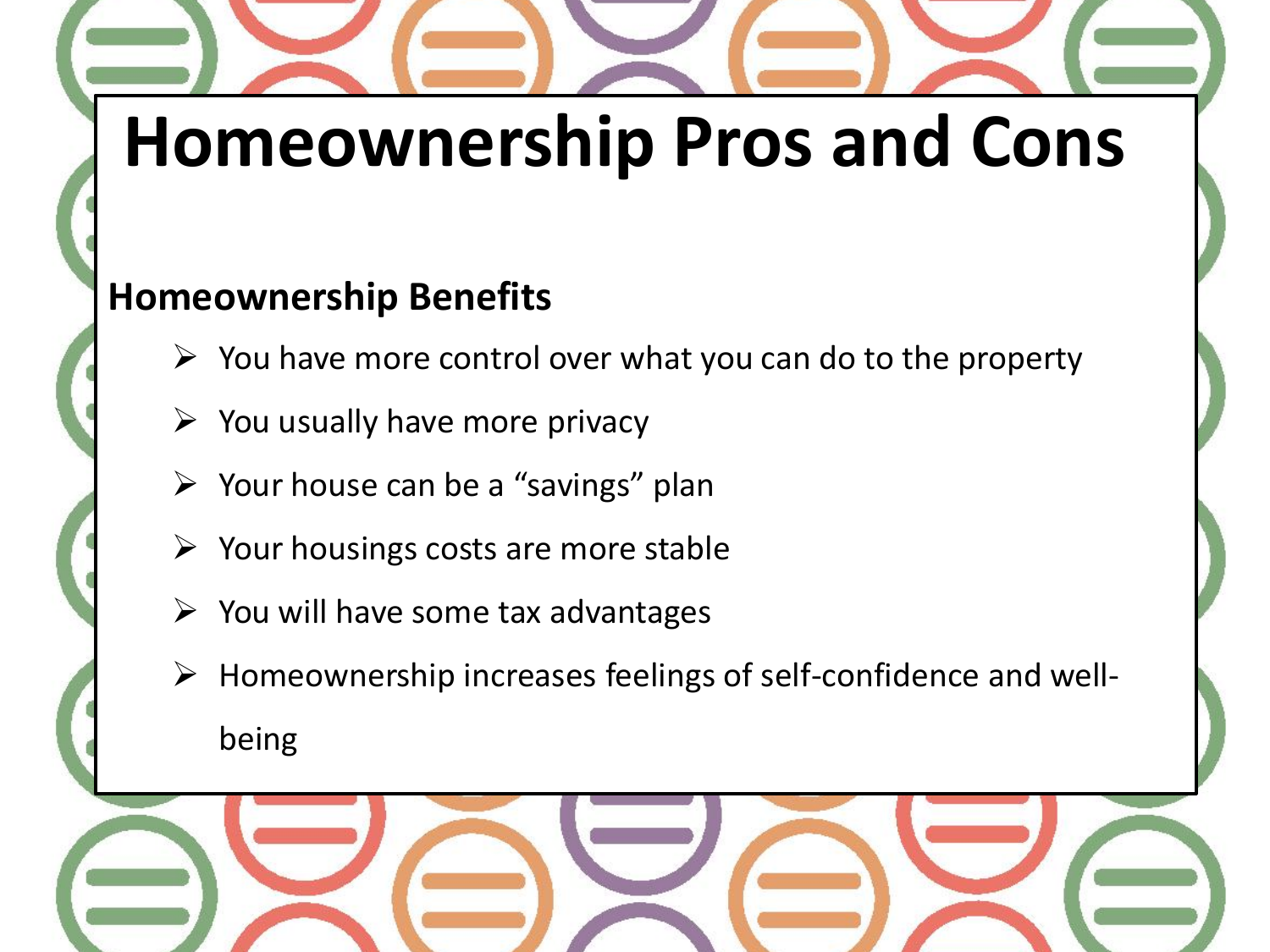# **Homeownership Pros and Cons**

#### **Homeownership Benefits**

- $\triangleright$  You have more control over what you can do to the property
- $\triangleright$  You usually have more privacy
- $\triangleright$  Your house can be a "savings" plan
- $\triangleright$  Your housings costs are more stable
- $\triangleright$  You will have some tax advantages
- Homeownership increases feelings of self-confidence and well-

being